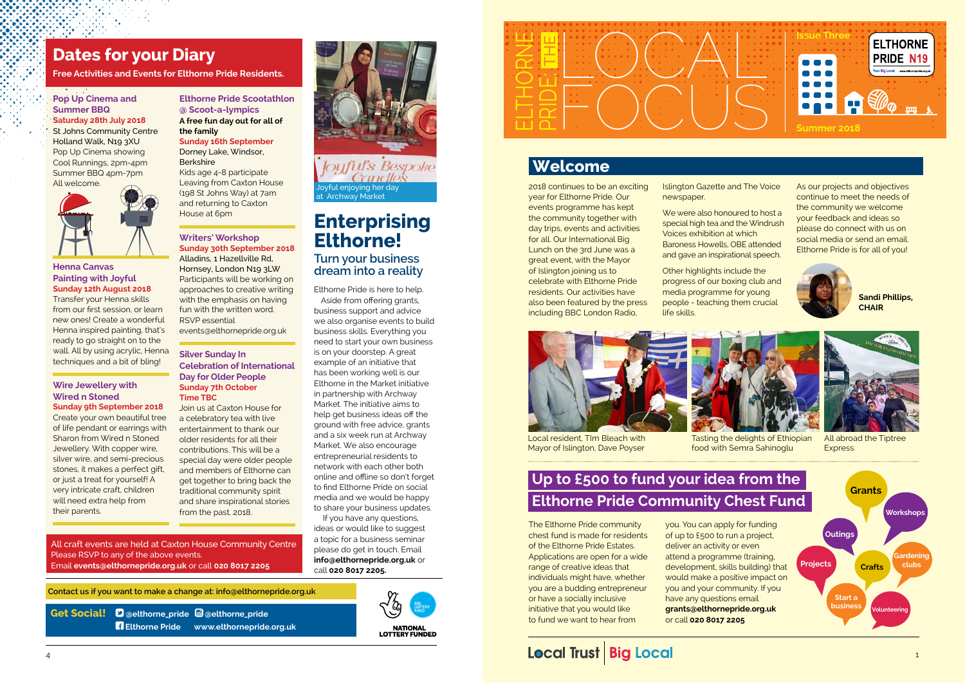### **Pop Up Cinema and Summer BBQ Saturday 28th July 2018**

St Johns Community Centre Holland Walk, N19 3XU Pop Up Cinema showing Cool Runnings, 2pm-4pm Summer BBQ 4pm-7pm All welcome.



#### **Henna Canvas Painting with Joyful Sunday 12th August 2018**

Transfer your Henna skills from our first session, or learn new ones! Create a wonderful Henna inspired painting, that's ready to go straight on to the wall. All by using acrylic, Henna techniques and a bit of bling!

#### **Wire Jewellery with Wired n Stoned Sunday 9th September 2018**

**Berkshire** Kids age 4-8 participate Leaving from Caxton House (198 St Johns Way) at 7am and returning to Caxton House at 6pm

Create your own beautiful tree of life pendant or earrings with Sharon from Wired n Stoned Jewellery. With copper wire, silver wire, and semi-precious stones, it makes a perfect gift, or just a treat for yourself! A very intricate craft, children will need extra help from their parents.

### **Elthorne Pride Scootathlon @ Scoot-a-lympics A free fun day out for all of**

**the family Sunday 16th September** Dorney Lake, Windsor,

#### **Writers' Workshop Sunday 30th September 2018** Alladins, 1 Hazellville Rd, Hornsey, London N19 3LW Participants will be working on approaches to creative writing with the emphasis on having fun with the written word.

We were also honoured to host a special high tea and the Windrush Voices exhibition at which Baroness Howells, OBE attended and gave an inspirational speech.

RSVP essential [events@elthornepride.org.uk](mailto:events@elthornepride.org.uk)

### **Silver Sunday In Celebration of International Day for Older People Sunday 7th October Time TBC**

Join us at Caxton House for a celebratory tea with live entertainment to thank our older residents for all their contributions. This will be a special day were older people and members of Elthorne can get together to bring back the traditional community spirit and share inspirational stories from the past. 2018.

**Get Social! [@elthorne\\_pride](http://www.twitter.com/elthorne_pride) [@elthorne\\_pride](http://www.instagram.com/elthorne_pride)  [Elthorne Pride](https://www.facebook.com/Elthorne-Pride-257605801400299/?hc_ref=ART635oyvltYut05En4rpub3mneujz7aWhUTbOtj1I1CN48QkYlZlqWcx5UFhA7RbjQ&fref=nf) [www.elthornepride.org.uk](http://www.elthornepride.org.uk)** 



**NATIONAL<br>LOTTERY FUNDED** 

## **Welcome**

2018 continues to be an exciting year for Elthorne Pride. Our events programme has kept the community together with day trips, events and activities for all. Our International Big Lunch on the 3rd June was a great event, with the Mayor of Islington joining us to celebrate with Elthorne Pride residents. Our activities have also been featured by the press including BBC London Radio,

Islington Gazette and The Voice newspaper.



All abroad the Tiptree **Express** 

*<u>Oyful's Bespoke</u>*<br>Candles Joyful enjoying her day at Archway Market

> Other highlights include the progress of our boxing club and media programme for young people - teaching them crucial life skills.



As our projects and objectives continue to meet the needs of the community we welcome your feedback and ideas so please do connect with us on social media or send an email. Elthorne Pride is for all of you!



**Sandi Phillips, CHAIR**

The Elthorne Pride community chest fund is made for residents of the Elthorne Pride Estates. Applications are open for a wide range of creative ideas that individuals might have, whether you are a budding entrepreneur or have a socially inclusive initiative that you would like to fund we want to hear from

you. You can apply for funding of up to £500 to run a project, deliver an activity or even attend a programme (training, development, skills building) that would make a positive impact on you and your community. If you have any questions email **[grants@elthornepride.org.uk](mailto:grants@elthornepride.org.uk)**  or call **020 8017 2205**

## **Local Trust Big Local**



## **Up to £500 to fund your idea from the Elthorne Pride Community Chest Fund**

## **Dates for your Diary**

**Free Activities and Events for Elthorne Pride Residents.**

 **Contact us if you want to make a change at: [info@elthornepride.org.uk](mailto:info@elthornepride.org.uk)**

Elthorne Pride is here to help.

Aside from offering grants, business support and advice we also organise events to build business skills. Everything you need to start your own business is on your doorstep. A great example of an initiative that has been working well is our Elthorne in the Market initiative in partnership with Archway Market. The initiative aims to help get business ideas off the ground with free advice, grants and a six week run at Archway Market. We also encourage entrepreneurial residents to network with each other both online and offline so don't forget to find Elthorne Pride on social media and we would be happy to share your business updates.

 If you have any questions, ideas or would like to suggest a topic for a business seminar please do get in touch. Email **info@elthornepride.org.uk** or call **020 8017 2205.**

Local resident, TIm Bleach with Mayor of Islington, Dave Poyser



## **Enterprising Elthorne! Turn your business**

**dream into a reality**



Tasting the delights of Ethiopian food with Semra Sahinoglu

All craft events are held at Caxton House Community Centre Please RSVP to any of the above events. Email **events@elthornepride.org.uk** or call **020 8017 2205**